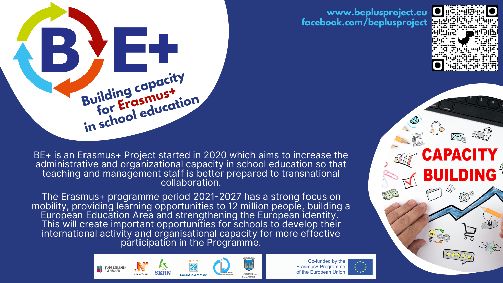

BE+ is an Erasmus+ Project started in 2020 which aims to increase the administrative and organizational capacity in school education so that teaching and management staff is better prepared to transnational collaboration.

The Erasmus+ programme period 2021-2027 has a strong focus on mobility, providing learning opportunities to 12 million people, building a European Education Area and strengthening the European identity. This will create important opportunities for schools to develop their international activity and organisational capacity for more effective participation in the Programme.



Co-funded by the Erasmus+ Programme of the European Union

### **www.beplusproject.eu facebook.com/beplusproject**